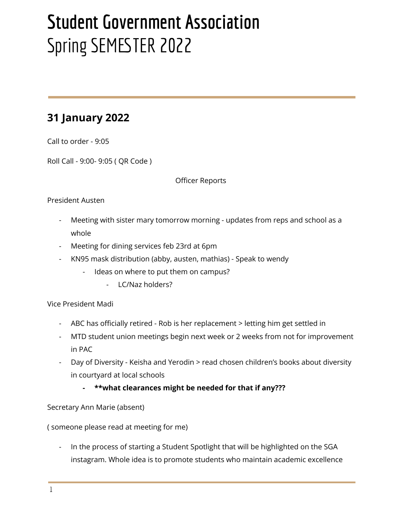# **Student Government Association** Spring SEMESTER 2022

# **31 January 2022**

Call to order - 9:05

Roll Call - 9:00- 9:05 ( QR Code )

Officer Reports

#### President Austen

- Meeting with sister mary tomorrow morning updates from reps and school as a whole
- Meeting for dining services feb 23rd at 6pm
- KN95 mask distribution (abby, austen, mathias) Speak to wendy
	- Ideas on where to put them on campus?
		- LC/Naz holders?

Vice President Madi

- ABC has officially retired Rob is her replacement > letting him get settled in
- MTD student union meetings begin next week or 2 weeks from not for improvement in PAC
- Day of Diversity Keisha and Yerodin > read chosen children's books about diversity in courtyard at local schools
	- **- \*\*what clearances might be needed for that if any???**

Secretary Ann Marie (absent)

( someone please read at meeting for me)

In the process of starting a Student Spotlight that will be highlighted on the SGA instagram. Whole idea is to promote students who maintain academic excellence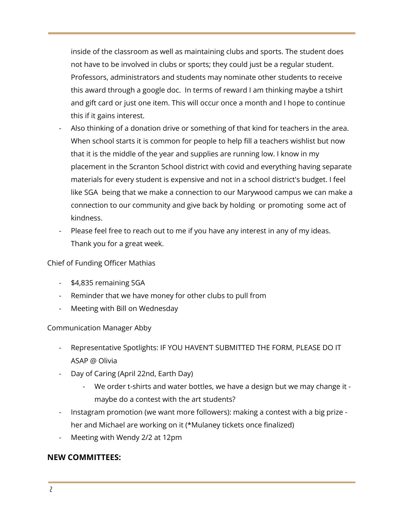inside of the classroom as well as maintaining clubs and sports. The student does not have to be involved in clubs or sports; they could just be a regular student. Professors, administrators and students may nominate other students to receive this award through a google doc. In terms of reward I am thinking maybe a tshirt and gift card or just one item. This will occur once a month and I hope to continue this if it gains interest.

- Also thinking of a donation drive or something of that kind for teachers in the area. When school starts it is common for people to help fill a teachers wishlist but now that it is the middle of the year and supplies are running low. I know in my placement in the Scranton School district with covid and everything having separate materials for every student is expensive and not in a school district's budget. I feel like SGA being that we make a connection to our Marywood campus we can make a connection to our community and give back by holding or promoting some act of kindness.
- Please feel free to reach out to me if you have any interest in any of my ideas. Thank you for a great week.

#### Chief of Funding Officer Mathias

- \$4,835 remaining SGA
- Reminder that we have money for other clubs to pull from
- Meeting with Bill on Wednesday

#### Communication Manager Abby

- Representative Spotlights: IF YOU HAVEN'T SUBMITTED THE FORM, PLEASE DO IT ASAP @ Olivia
- Day of Caring (April 22nd, Earth Day)
	- We order t-shirts and water bottles, we have a design but we may change it maybe do a contest with the art students?
- Instagram promotion (we want more followers): making a contest with a big prize her and Michael are working on it (\*Mulaney tickets once finalized)
- Meeting with Wendy 2/2 at 12pm

#### **NEW COMMITTEES:**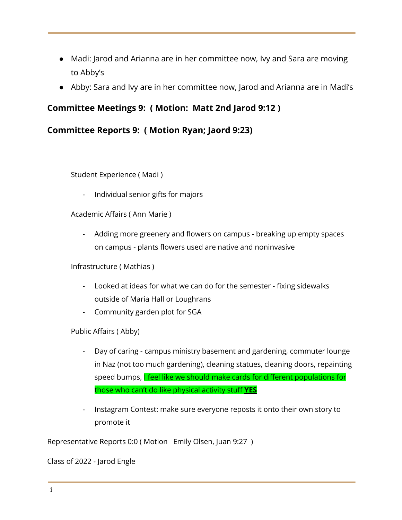- Madi: Jarod and Arianna are in her committee now, Ivy and Sara are moving to Abby's
- Abby: Sara and Ivy are in her committee now, Jarod and Arianna are in Madi's

## **Committee Meetings 9: ( Motion: Matt 2nd Jarod 9:12 )**

### **Committee Reports 9: ( Motion Ryan; Jaord 9:23)**

Student Experience ( Madi )

- Individual senior gifts for majors

Academic Affairs ( Ann Marie )

- Adding more greenery and flowers on campus - breaking up empty spaces on campus - plants flowers used are native and noninvasive

Infrastructure ( Mathias )

- Looked at ideas for what we can do for the semester fixing sidewalks outside of Maria Hall or Loughrans
- Community garden plot for SGA

Public Affairs ( Abby)

- Day of caring campus ministry basement and gardening, commuter lounge in Naz (not too much gardening), cleaning statues, cleaning doors, repainting speed bumps, I feel like we should make cards for different populations for those who can't do like physical activity stuff **YES**
- Instagram Contest: make sure everyone reposts it onto their own story to promote it

Representative Reports 0:0 ( Motion Emily Olsen, Juan 9:27 )

Class of 2022 - Jarod Engle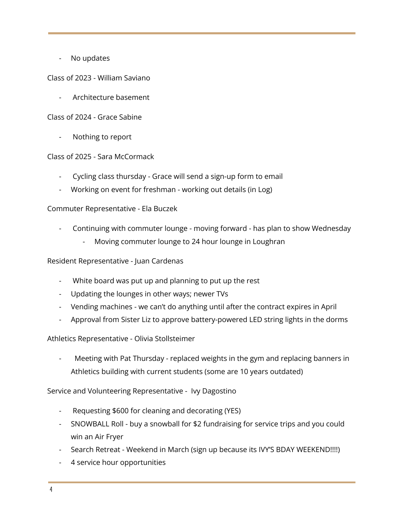No updates

Class of 2023 - William Saviano

- Architecture basement

Class of 2024 - Grace Sabine

Nothing to report

Class of 2025 - Sara McCormack

- Cycling class thursday Grace will send a sign-up form to email
- Working on event for freshman working out details (in Log)

#### Commuter Representative - Ela Buczek

- Continuing with commuter lounge moving forward has plan to show Wednesday
	- Moving commuter lounge to 24 hour lounge in Loughran

Resident Representative - Juan Cardenas

- White board was put up and planning to put up the rest
- Updating the lounges in other ways; newer TVs
- Vending machines we can't do anything until after the contract expires in April
- Approval from Sister Liz to approve battery-powered LED string lights in the dorms

Athletics Representative - Olivia Stollsteimer

Meeting with Pat Thursday - replaced weights in the gym and replacing banners in Athletics building with current students (some are 10 years outdated)

Service and Volunteering Representative - Ivy Dagostino

- Requesting \$600 for cleaning and decorating (YES)
- SNOWBALL Roll buy a snowball for \$2 fundraising for service trips and you could win an Air Fryer
- Search Retreat Weekend in March (sign up because its IVY'S BDAY WEEKEND!!!!)
- 4 service hour opportunities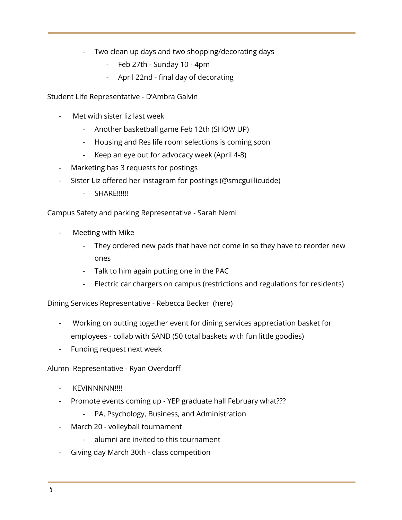- Two clean up days and two shopping/decorating days
	- Feb 27th Sunday 10 4pm
	- April 22nd final day of decorating

Student Life Representative - D'Ambra Galvin

- Met with sister liz last week
	- Another basketball game Feb 12th (SHOW UP)
	- Housing and Res life room selections is coming soon
	- Keep an eye out for advocacy week (April 4-8)
- Marketing has 3 requests for postings
- Sister Liz offered her instagram for postings (@smcguillicudde)
	- SHARE!!!!!!

Campus Safety and parking Representative - Sarah Nemi

- Meeting with Mike
	- They ordered new pads that have not come in so they have to reorder new ones
	- Talk to him again putting one in the PAC
	- Electric car chargers on campus (restrictions and regulations for residents)

Dining Services Representative - Rebecca Becker (here)

- Working on putting together event for dining services appreciation basket for employees - collab with SAND (50 total baskets with fun little goodies)
- Funding request next week

Alumni Representative - Ryan Overdorff

- KEVINNNNN!!!!
- Promote events coming up YEP graduate hall February what???
	- PA, Psychology, Business, and Administration
- March 20 volleyball tournament
	- alumni are invited to this tournament
- Giving day March 30th class competition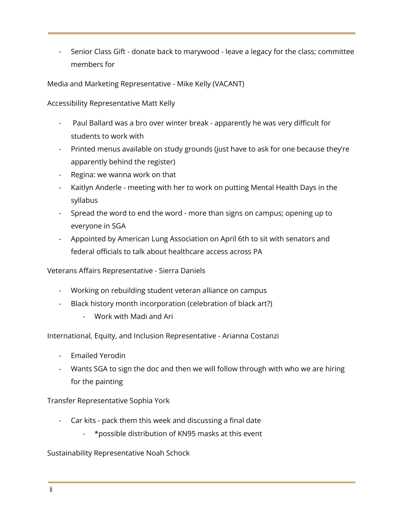- Senior Class Gift - donate back to marywood - leave a legacy for the class; committee members for

Media and Marketing Representative - Mike Kelly (VACANT)

Accessibility Representative Matt Kelly

- Paul Ballard was a bro over winter break apparently he was very difficult for students to work with
- Printed menus available on study grounds (just have to ask for one because they're apparently behind the register)
- Regina: we wanna work on that
- Kaitlyn Anderle meeting with her to work on putting Mental Health Days in the syllabus
- Spread the word to end the word more than signs on campus; opening up to everyone in SGA
- Appointed by American Lung Association on April 6th to sit with senators and federal officials to talk about healthcare access across PA

Veterans Affairs Representative - Sierra Daniels

- Working on rebuilding student veteran alliance on campus
- Black history month incorporation (celebration of black art?)
	- Work with Madi and Ari

International, Equity, and Inclusion Representative - Arianna Costanzi

- Emailed Yerodin
- Wants SGA to sign the doc and then we will follow through with who we are hiring for the painting

Transfer Representative Sophia York

- Car kits pack them this week and discussing a final date
	- \*possible distribution of KN95 masks at this event

Sustainability Representative Noah Schock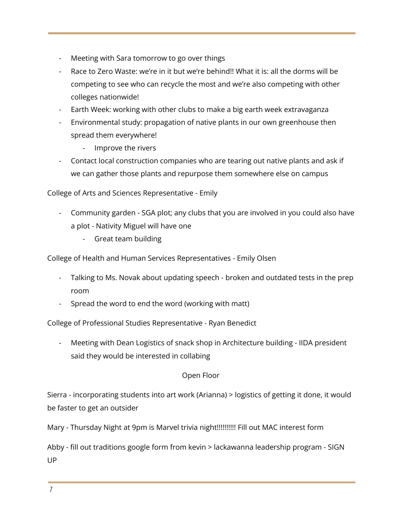- Meeting with Sara tomorrow to go over things
- Race to Zero Waste: we're in it but we're behind!! What it is: all the dorms will be competing to see who can recycle the most and we're also competing with other colleges nationwide!
- Earth Week: working with other clubs to make a big earth week extravaganza
- Environmental study: propagation of native plants in our own greenhouse then spread them everywhere!
	- Improve the rivers
- Contact local construction companies who are tearing out native plants and ask if we can gather those plants and repurpose them somewhere else on campus

College of Arts and Sciences Representative - Emily

- Community garden SGA plot; any clubs that you are involved in you could also have a plot - Nativity Miguel will have one
	- Great team building

College of Health and Human Services Representatives - Emily Olsen

- Talking to Ms. Novak about updating speech broken and outdated tests in the prep room
- Spread the word to end the word (working with matt)

College of Professional Studies Representative - Ryan Benedict

Meeting with Dean Logistics of snack shop in Architecture building - IIDA president said they would be interested in collabing

#### Open Floor

Sierra - incorporating students into art work (Arianna) > logistics of getting it done, it would be faster to get an outsider

Mary - Thursday Night at 9pm is Marvel trivia night!!!!!!!!!! Fill out MAC interest form

Abby - fill out traditions google form from kevin > lackawanna leadership program - SIGN UP